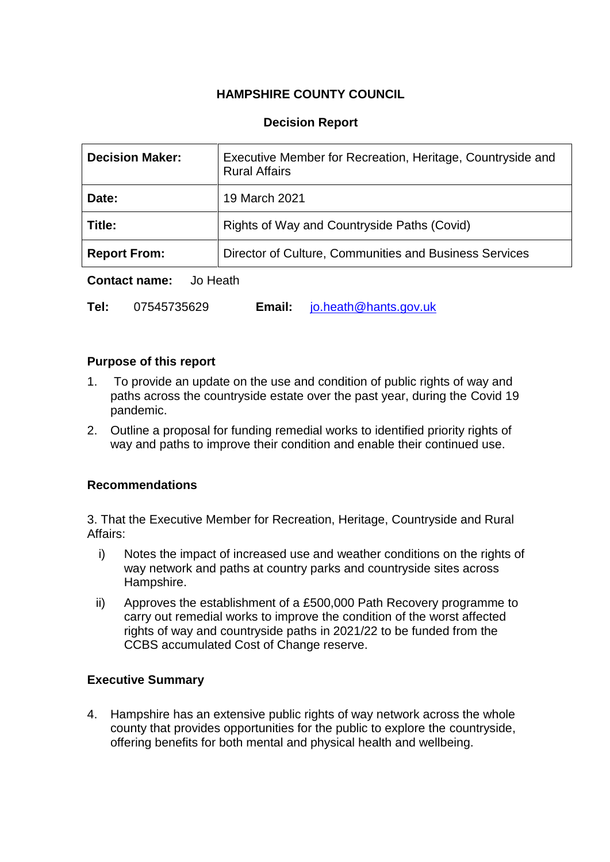## **HAMPSHIRE COUNTY COUNCIL**

### **Decision Report**

| <b>Decision Maker:</b> | Executive Member for Recreation, Heritage, Countryside and<br><b>Rural Affairs</b> |
|------------------------|------------------------------------------------------------------------------------|
| Date:                  | 19 March 2021                                                                      |
| Title:                 | Rights of Way and Countryside Paths (Covid)                                        |
| <b>Report From:</b>    | Director of Culture, Communities and Business Services                             |

**Contact name:** Jo Heath

**Tel:** 07545735629 **Email:** [jo.heath@hants.gov.uk](mailto:jo.heath@hants.gov.uk)

### **Purpose of this report**

- 1. To provide an update on the use and condition of public rights of way and paths across the countryside estate over the past year, during the Covid 19 pandemic.
- 2. Outline a proposal for funding remedial works to identified priority rights of way and paths to improve their condition and enable their continued use.

## **Recommendations**

3. That the Executive Member for Recreation, Heritage, Countryside and Rural Affairs:

- i) Notes the impact of increased use and weather conditions on the rights of way network and paths at country parks and countryside sites across Hampshire.
- ii) Approves the establishment of a £500,000 Path Recovery programme to carry out remedial works to improve the condition of the worst affected rights of way and countryside paths in 2021/22 to be funded from the CCBS accumulated Cost of Change reserve.

## **Executive Summary**

4. Hampshire has an extensive public rights of way network across the whole county that provides opportunities for the public to explore the countryside, offering benefits for both mental and physical health and wellbeing.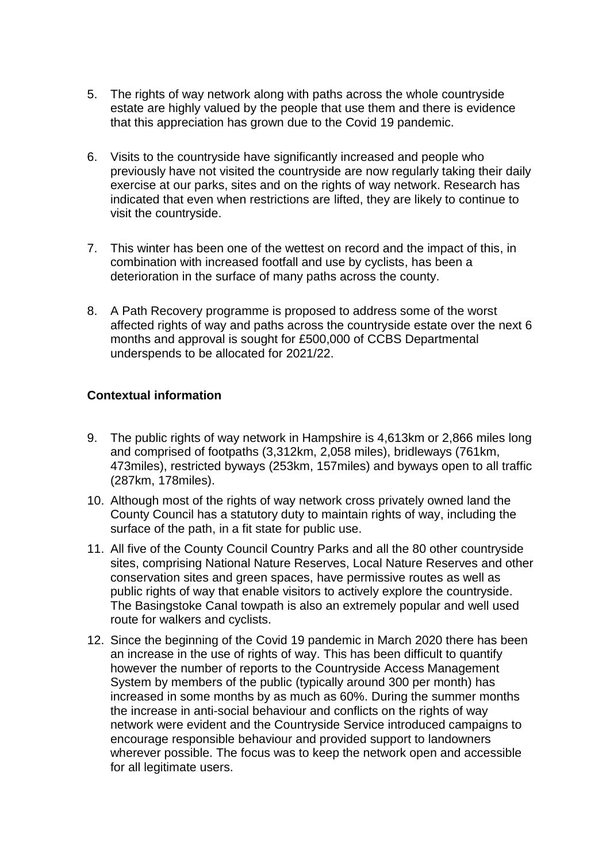- 5. The rights of way network along with paths across the whole countryside estate are highly valued by the people that use them and there is evidence that this appreciation has grown due to the Covid 19 pandemic.
- 6. Visits to the countryside have significantly increased and people who previously have not visited the countryside are now regularly taking their daily exercise at our parks, sites and on the rights of way network. Research has indicated that even when restrictions are lifted, they are likely to continue to visit the countryside.
- 7. This winter has been one of the wettest on record and the impact of this, in combination with increased footfall and use by cyclists, has been a deterioration in the surface of many paths across the county.
- 8. A Path Recovery programme is proposed to address some of the worst affected rights of way and paths across the countryside estate over the next 6 months and approval is sought for £500,000 of CCBS Departmental underspends to be allocated for 2021/22.

## **Contextual information**

- 9. The public rights of way network in Hampshire is 4,613km or 2,866 miles long and comprised of footpaths (3,312km, 2,058 miles), bridleways (761km, 473miles), restricted byways (253km, 157miles) and byways open to all traffic (287km, 178miles).
- 10. Although most of the rights of way network cross privately owned land the County Council has a statutory duty to maintain rights of way, including the surface of the path, in a fit state for public use.
- 11. All five of the County Council Country Parks and all the 80 other countryside sites, comprising National Nature Reserves, Local Nature Reserves and other conservation sites and green spaces, have permissive routes as well as public rights of way that enable visitors to actively explore the countryside. The Basingstoke Canal towpath is also an extremely popular and well used route for walkers and cyclists.
- 12. Since the beginning of the Covid 19 pandemic in March 2020 there has been an increase in the use of rights of way. This has been difficult to quantify however the number of reports to the Countryside Access Management System by members of the public (typically around 300 per month) has increased in some months by as much as 60%. During the summer months the increase in anti-social behaviour and conflicts on the rights of way network were evident and the Countryside Service introduced campaigns to encourage responsible behaviour and provided support to landowners wherever possible. The focus was to keep the network open and accessible for all legitimate users.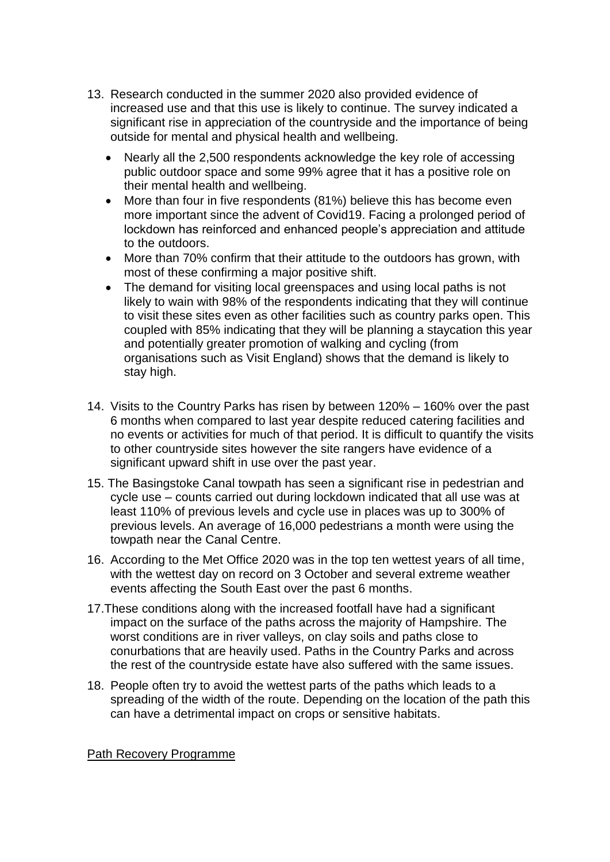- 13. Research conducted in the summer 2020 also provided evidence of increased use and that this use is likely to continue. The survey indicated a significant rise in appreciation of the countryside and the importance of being outside for mental and physical health and wellbeing.
	- Nearly all the 2,500 respondents acknowledge the key role of accessing public outdoor space and some 99% agree that it has a positive role on their mental health and wellbeing.
	- More than four in five respondents (81%) believe this has become even more important since the advent of Covid19. Facing a prolonged period of lockdown has reinforced and enhanced people's appreciation and attitude to the outdoors.
	- More than 70% confirm that their attitude to the outdoors has grown, with most of these confirming a major positive shift.
	- The demand for visiting local greenspaces and using local paths is not likely to wain with 98% of the respondents indicating that they will continue to visit these sites even as other facilities such as country parks open. This coupled with 85% indicating that they will be planning a staycation this year and potentially greater promotion of walking and cycling (from organisations such as Visit England) shows that the demand is likely to stay high.
- 14. Visits to the Country Parks has risen by between 120% 160% over the past 6 months when compared to last year despite reduced catering facilities and no events or activities for much of that period. It is difficult to quantify the visits to other countryside sites however the site rangers have evidence of a significant upward shift in use over the past year.
- 15. The Basingstoke Canal towpath has seen a significant rise in pedestrian and cycle use – counts carried out during lockdown indicated that all use was at least 110% of previous levels and cycle use in places was up to 300% of previous levels. An average of 16,000 pedestrians a month were using the towpath near the Canal Centre.
- 16. According to the Met Office 2020 was in the top ten wettest years of all time, with the wettest day on record on 3 October and several extreme weather events affecting the South East over the past 6 months.
- 17.These conditions along with the increased footfall have had a significant impact on the surface of the paths across the majority of Hampshire. The worst conditions are in river valleys, on clay soils and paths close to conurbations that are heavily used. Paths in the Country Parks and across the rest of the countryside estate have also suffered with the same issues.
- 18. People often try to avoid the wettest parts of the paths which leads to a spreading of the width of the route. Depending on the location of the path this can have a detrimental impact on crops or sensitive habitats.

Path Recovery Programme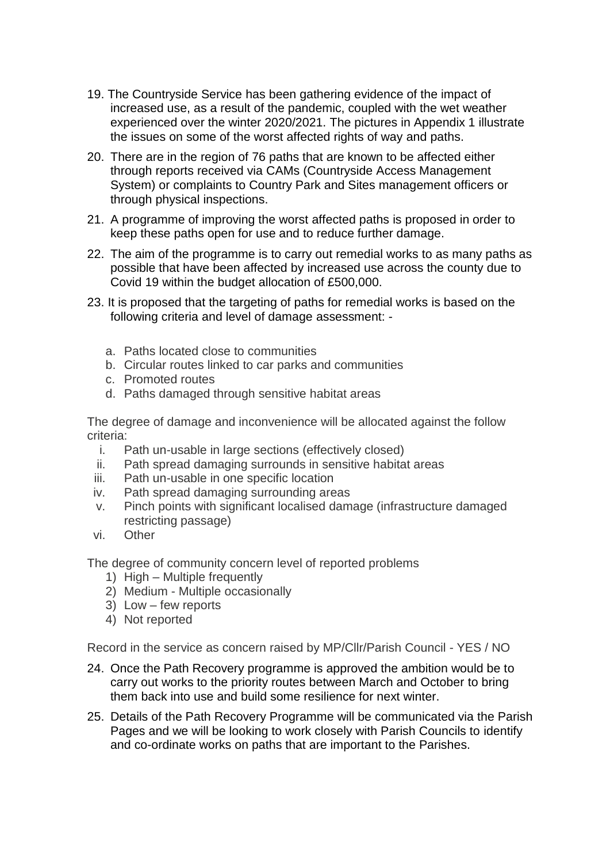- 19. The Countryside Service has been gathering evidence of the impact of increased use, as a result of the pandemic, coupled with the wet weather experienced over the winter 2020/2021. The pictures in Appendix 1 illustrate the issues on some of the worst affected rights of way and paths.
- 20. There are in the region of 76 paths that are known to be affected either through reports received via CAMs (Countryside Access Management System) or complaints to Country Park and Sites management officers or through physical inspections.
- 21. A programme of improving the worst affected paths is proposed in order to keep these paths open for use and to reduce further damage.
- 22. The aim of the programme is to carry out remedial works to as many paths as possible that have been affected by increased use across the county due to Covid 19 within the budget allocation of £500,000.
- 23. It is proposed that the targeting of paths for remedial works is based on the following criteria and level of damage assessment:
	- a. Paths located close to communities
	- b. Circular routes linked to car parks and communities
	- c. Promoted routes
	- d. Paths damaged through sensitive habitat areas

The degree of damage and inconvenience will be allocated against the follow criteria:

- i. Path un-usable in large sections (effectively closed)
- ii. Path spread damaging surrounds in sensitive habitat areas
- iii. Path un-usable in one specific location
- iv. Path spread damaging surrounding areas
- v. Pinch points with significant localised damage (infrastructure damaged restricting passage)
- vi. Other

The degree of community concern level of reported problems

- 1) High Multiple frequently
- 2) Medium Multiple occasionally
- 3) Low few reports
- 4) Not reported

Record in the service as concern raised by MP/Cllr/Parish Council - YES / NO

- 24. Once the Path Recovery programme is approved the ambition would be to carry out works to the priority routes between March and October to bring them back into use and build some resilience for next winter.
- 25. Details of the Path Recovery Programme will be communicated via the Parish Pages and we will be looking to work closely with Parish Councils to identify and co-ordinate works on paths that are important to the Parishes.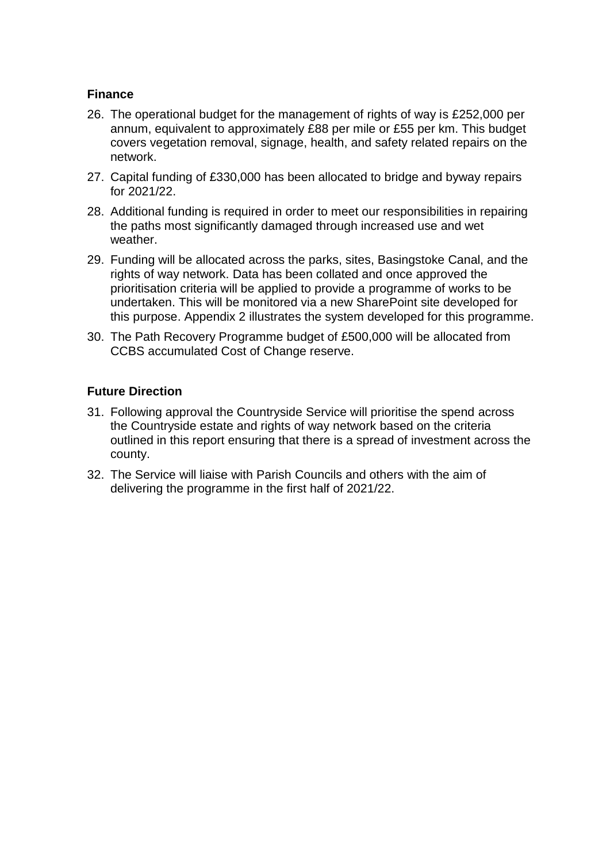## **Finance**

- 26. The operational budget for the management of rights of way is £252,000 per annum, equivalent to approximately £88 per mile or £55 per km. This budget covers vegetation removal, signage, health, and safety related repairs on the network.
- 27. Capital funding of £330,000 has been allocated to bridge and byway repairs for 2021/22.
- 28. Additional funding is required in order to meet our responsibilities in repairing the paths most significantly damaged through increased use and wet weather.
- 29. Funding will be allocated across the parks, sites, Basingstoke Canal, and the rights of way network. Data has been collated and once approved the prioritisation criteria will be applied to provide a programme of works to be undertaken. This will be monitored via a new SharePoint site developed for this purpose. Appendix 2 illustrates the system developed for this programme.
- 30. The Path Recovery Programme budget of £500,000 will be allocated from CCBS accumulated Cost of Change reserve.

### **Future Direction**

- 31. Following approval the Countryside Service will prioritise the spend across the Countryside estate and rights of way network based on the criteria outlined in this report ensuring that there is a spread of investment across the county.
- 32. The Service will liaise with Parish Councils and others with the aim of delivering the programme in the first half of 2021/22.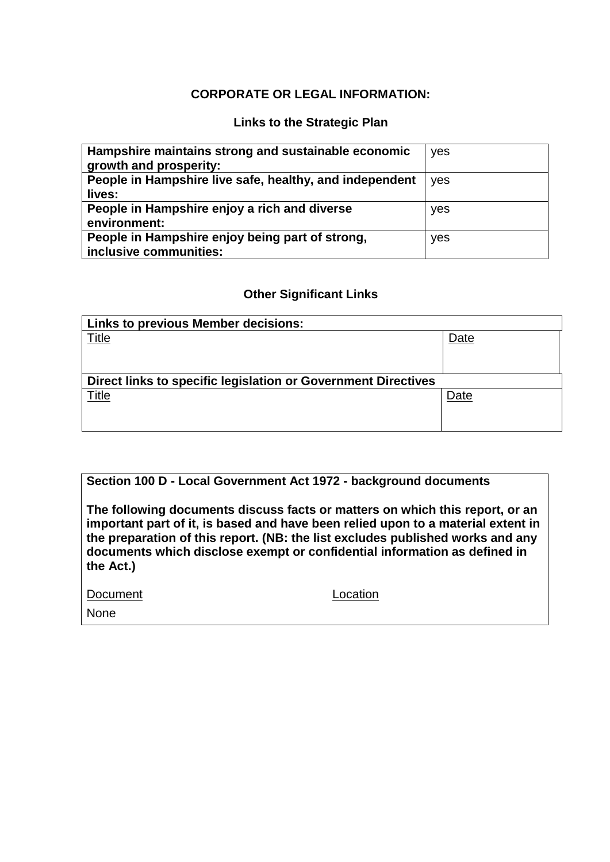#### **CORPORATE OR LEGAL INFORMATION:**

## **Links to the Strategic Plan**

| Hampshire maintains strong and sustainable economic<br>growth and prosperity: | yes |
|-------------------------------------------------------------------------------|-----|
| People in Hampshire live safe, healthy, and independent                       | yes |
| lives:                                                                        |     |
| People in Hampshire enjoy a rich and diverse                                  | yes |
| environment:                                                                  |     |
| People in Hampshire enjoy being part of strong,                               | yes |
| inclusive communities:                                                        |     |

#### **Other Significant Links**

| <b>Links to previous Member decisions:</b>                    |      |  |  |  |  |
|---------------------------------------------------------------|------|--|--|--|--|
| <u>Title</u>                                                  | Date |  |  |  |  |
|                                                               |      |  |  |  |  |
|                                                               |      |  |  |  |  |
| Direct links to specific legislation or Government Directives |      |  |  |  |  |
| Title                                                         | Date |  |  |  |  |
|                                                               |      |  |  |  |  |
|                                                               |      |  |  |  |  |

#### **Section 100 D - Local Government Act 1972 - background documents**

**The following documents discuss facts or matters on which this report, or an important part of it, is based and have been relied upon to a material extent in the preparation of this report. (NB: the list excludes published works and any documents which disclose exempt or confidential information as defined in the Act.)**

| Document |  |
|----------|--|
|          |  |

Location

None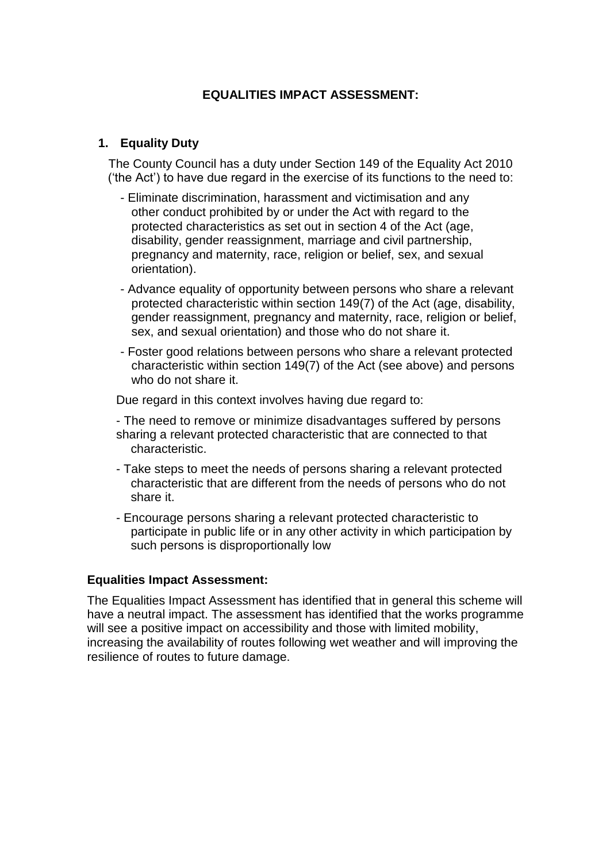## **EQUALITIES IMPACT ASSESSMENT:**

#### **1. Equality Duty**

The County Council has a duty under Section 149 of the Equality Act 2010 ('the Act') to have due regard in the exercise of its functions to the need to:

- Eliminate discrimination, harassment and victimisation and any other conduct prohibited by or under the Act with regard to the protected characteristics as set out in section 4 of the Act (age, disability, gender reassignment, marriage and civil partnership, pregnancy and maternity, race, religion or belief, sex, and sexual orientation).
- Advance equality of opportunity between persons who share a relevant protected characteristic within section 149(7) of the Act (age, disability, gender reassignment, pregnancy and maternity, race, religion or belief, sex, and sexual orientation) and those who do not share it.
- Foster good relations between persons who share a relevant protected characteristic within section 149(7) of the Act (see above) and persons who do not share it.

Due regard in this context involves having due regard to:

- The need to remove or minimize disadvantages suffered by persons sharing a relevant protected characteristic that are connected to that characteristic.
- Take steps to meet the needs of persons sharing a relevant protected characteristic that are different from the needs of persons who do not share it.
- Encourage persons sharing a relevant protected characteristic to participate in public life or in any other activity in which participation by such persons is disproportionally low

#### **Equalities Impact Assessment:**

The Equalities Impact Assessment has identified that in general this scheme will have a neutral impact. The assessment has identified that the works programme will see a positive impact on accessibility and those with limited mobility, increasing the availability of routes following wet weather and will improving the resilience of routes to future damage.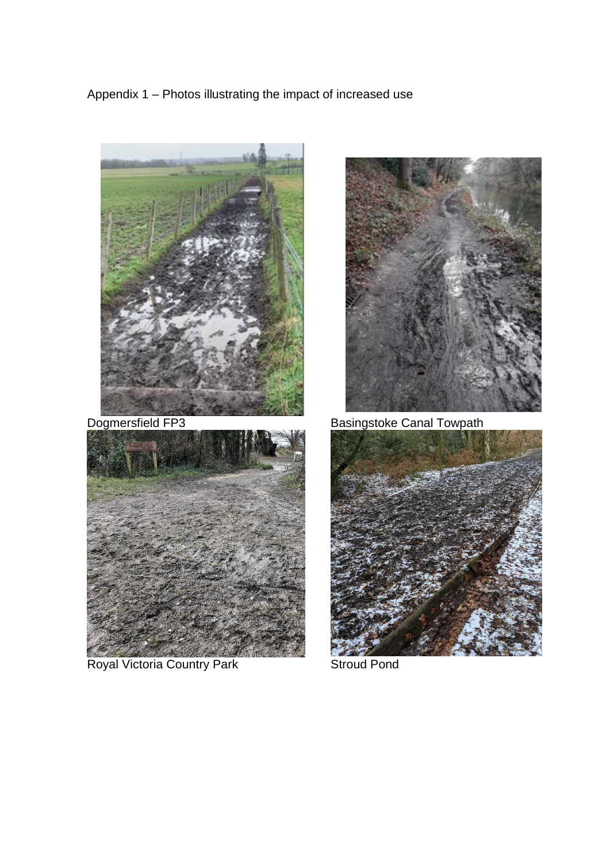Appendix 1 – Photos illustrating the impact of increased use





Royal Victoria Country Park Stroud Pond



Dogmersfield FP3 Basingstoke Canal Towpath